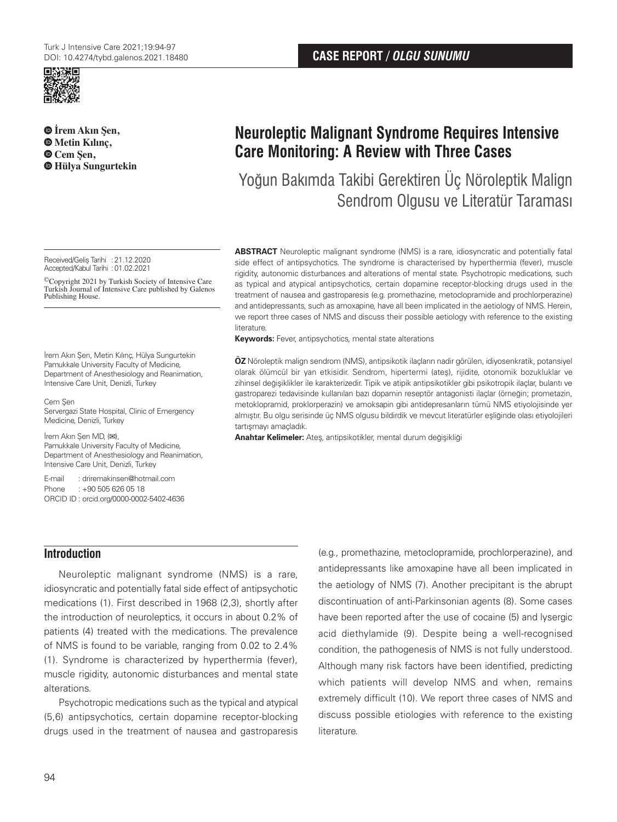

 **İrem Akın Şen, Metin Kılınç, Cem Şen, Hülya Sungurtekin**

Received/Geliş Tarihi :21.12.2020 Accepted/Kabul Tarihi :01.02.2021

©Copyright 2021 by Turkish Society of Intensive Care Turkish Journal of Intensive Care published by Galenos Publishing House.

İrem Akın Şen, Metin Kılınç, Hülya Sungurtekin Pamukkale University Faculty of Medicine, Department of Anesthesiology and Reanimation, Intensive Care Unit, Denizli, Turkey

Cem Şen Servergazi State Hospital, Clinic of Emergency Medicine, Denizli, Turkey

İrem Akın Şen MD, (**✉**), Pamukkale University Faculty of Medicine, Department of Anesthesiology and Reanimation, Intensive Care Unit, Denizli, Turkey

E-mail : driremakinsen@hotmail.com Phone : +90 505 626 05 18 ORCID ID : orcid.org/0000-0002-5402-4636 **CASE REPORT /** *OLGU SUNUMU*

# **Neuroleptic Malignant Syndrome Requires Intensive Care Monitoring: A Review with Three Cases**

Yoğun Bakımda Takibi Gerektiren Üç Nöroleptik Malign Sendrom Olgusu ve Literatür Taraması

**ABSTRACT** Neuroleptic malignant syndrome (NMS) is a rare, idiosyncratic and potentially fatal side effect of antipsychotics. The syndrome is characterised by hyperthermia (fever), muscle rigidity, autonomic disturbances and alterations of mental state. Psychotropic medications, such as typical and atypical antipsychotics, certain dopamine receptor-blocking drugs used in the treatment of nausea and gastroparesis (e.g. promethazine, metoclopramide and prochlorperazine) and antidepressants, such as amoxapine, have all been implicated in the aetiology of NMS. Herein, we report three cases of NMS and discuss their possible aetiology with reference to the existing literature.

**Keywords:** Fever, antipsychotics, mental state alterations

**ÖZ** Nöroleptik malign sendrom (NMS), antipsikotik ilaçların nadir görülen, idiyosenkratik, potansiyel olarak ölümcül bir yan etkisidir. Sendrom, hipertermi (ateş), rijidite, otonomik bozukluklar ve zihinsel değişiklikler ile karakterizedir. Tipik ve atipik antipsikotikler gibi psikotropik ilaçlar, bulantı ve gastroparezi tedavisinde kullanılan bazı dopamin reseptör antagonisti ilaçlar (örneğin; prometazin, metoklopramid, proklorperazin) ve amoksapin gibi antidepresanların tümü NMS etiyolojisinde yer almıştır. Bu olgu serisinde üç NMS olgusu bildirdik ve mevcut literatürler eşliğinde olası etiyolojileri tartışmayı amaçladık.

**Anahtar Kelimeler:** Ateş, antipsikotikler, mental durum değişikliği

# **Introduction**

Neuroleptic malignant syndrome (NMS) is a rare, idiosyncratic and potentially fatal side effect of antipsychotic medications (1). First described in 1968 (2,3), shortly after the introduction of neuroleptics, it occurs in about 0.2% of patients (4) treated with the medications. The prevalence of NMS is found to be variable, ranging from 0.02 to 2.4% (1). Syndrome is characterized by hyperthermia (fever), muscle rigidity, autonomic disturbances and mental state alterations.

Psychotropic medications such as the typical and atypical (5,6) antipsychotics, certain dopamine receptor-blocking drugs used in the treatment of nausea and gastroparesis

(e.g., promethazine, metoclopramide, prochlorperazine), and antidepressants like amoxapine have all been implicated in the aetiology of NMS (7). Another precipitant is the abrupt discontinuation of anti-Parkinsonian agents (8). Some cases have been reported after the use of cocaine (5) and lysergic acid diethylamide (9). Despite being a well-recognised condition, the pathogenesis of NMS is not fully understood. Although many risk factors have been identified, predicting which patients will develop NMS and when, remains extremely difficult (10). We report three cases of NMS and discuss possible etiologies with reference to the existing literature.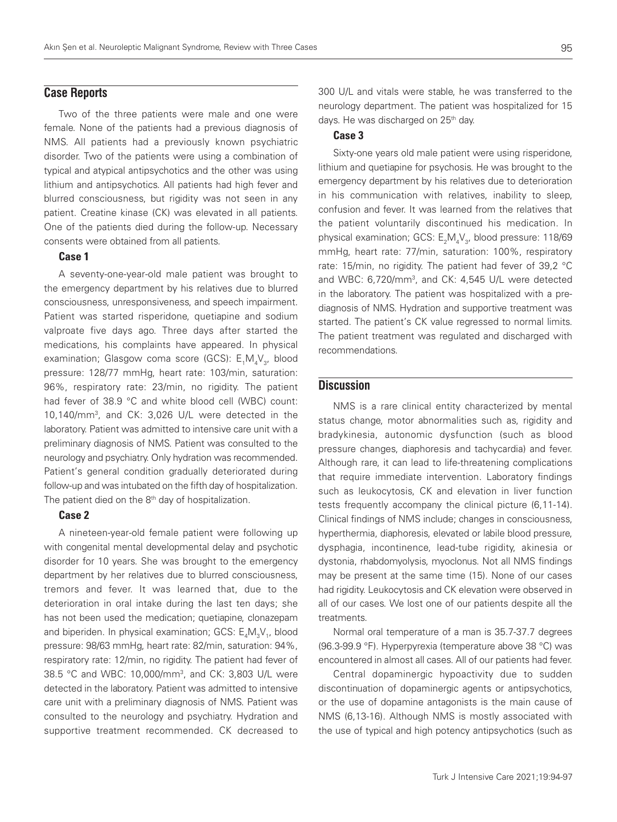# **Case Reports**

Two of the three patients were male and one were female. None of the patients had a previous diagnosis of NMS. All patients had a previously known psychiatric disorder. Two of the patients were using a combination of typical and atypical antipsychotics and the other was using lithium and antipsychotics. All patients had high fever and blurred consciousness, but rigidity was not seen in any patient. Creatine kinase (CK) was elevated in all patients. One of the patients died during the follow-up. Necessary consents were obtained from all patients.

#### Case 1

A seventy-one-year-old male patient was brought to the emergency department by his relatives due to blurred consciousness, unresponsiveness, and speech impairment. Patient was started risperidone, quetiapine and sodium valproate five days ago. Three days after started the medications, his complaints have appeared. In physical examination; Glasgow coma score (GCS): E<sub>1</sub>M<sub>4</sub>V<sub>3</sub>, blood pressure: 128/77 mmHg, heart rate: 103/min, saturation: 96%, respiratory rate: 23/min, no rigidity. The patient had fever of 38.9 °C and white blood cell (WBC) count: 10,140/mm3, and CK: 3,026 U/L were detected in the laboratory. Patient was admitted to intensive care unit with a preliminary diagnosis of NMS. Patient was consulted to the neurology and psychiatry. Only hydration was recommended. Patient's general condition gradually deteriorated during follow-up and was intubated on the fifth day of hospitalization. The patient died on the 8<sup>th</sup> day of hospitalization.

#### Case 2

A nineteen-year-old female patient were following up with congenital mental developmental delay and psychotic disorder for 10 years. She was brought to the emergency department by her relatives due to blurred consciousness, tremors and fever. It was learned that, due to the deterioration in oral intake during the last ten days; she has not been used the medication; quetiapine, clonazepam and biperiden. In physical examination; GCS:  $\mathsf{E}_4\mathsf{M}_3\mathsf{V}_1$ , blood pressure: 98/63 mmHg, heart rate: 82/min, saturation: 94%, respiratory rate: 12/min, no rigidity. The patient had fever of 38.5 °C and WBC: 10,000/mm3 , and CK: 3,803 U/L were detected in the laboratory. Patient was admitted to intensive care unit with a preliminary diagnosis of NMS. Patient was consulted to the neurology and psychiatry. Hydration and supportive treatment recommended. CK decreased to

300 U/L and vitals were stable, he was transferred to the neurology department. The patient was hospitalized for 15 days. He was discharged on  $25<sup>th</sup>$  day.

## Case 3

Sixty-one years old male patient were using risperidone, lithium and quetiapine for psychosis. He was brought to the emergency department by his relatives due to deterioration in his communication with relatives, inability to sleep, confusion and fever. It was learned from the relatives that the patient voluntarily discontinued his medication. In physical examination; GCS: E<sub>2</sub>M<sub>4</sub>V<sub>3</sub>, blood pressure: 118/69 mmHg, heart rate: 77/min, saturation: 100%, respiratory rate: 15/min, no rigidity. The patient had fever of 39,2 °C and WBC: 6,720/mm3 , and CK: 4,545 U/L were detected in the laboratory. The patient was hospitalized with a prediagnosis of NMS. Hydration and supportive treatment was started. The patient's CK value regressed to normal limits. The patient treatment was regulated and discharged with recommendations.

## **Discussion**

NMS is a rare clinical entity characterized by mental status change, motor abnormalities such as, rigidity and bradykinesia, autonomic dysfunction (such as blood pressure changes, diaphoresis and tachycardia) and fever. Although rare, it can lead to life-threatening complications that require immediate intervention. Laboratory findings such as leukocytosis, CK and elevation in liver function tests frequently accompany the clinical picture (6,11-14). Clinical findings of NMS include; changes in consciousness, hyperthermia, diaphoresis, elevated or labile blood pressure, dysphagia, incontinence, lead-tube rigidity, akinesia or dystonia, rhabdomyolysis, myoclonus. Not all NMS findings may be present at the same time (15). None of our cases had rigidity. Leukocytosis and CK elevation were observed in all of our cases. We lost one of our patients despite all the treatments.

Normal oral temperature of a man is 35.7-37.7 degrees (96.3-99.9 °F). Hyperpyrexia (temperature above 38 °C) was encountered in almost all cases. All of our patients had fever.

Central dopaminergic hypoactivity due to sudden discontinuation of dopaminergic agents or antipsychotics, or the use of dopamine antagonists is the main cause of NMS (6,13-16). Although NMS is mostly associated with the use of typical and high potency antipsychotics (such as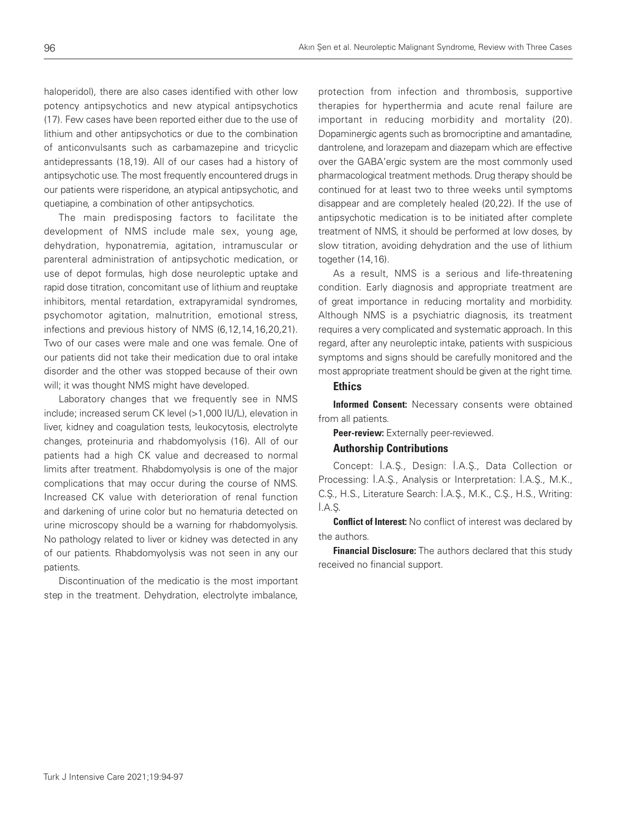haloperidol), there are also cases identified with other low potency antipsychotics and new atypical antipsychotics (17). Few cases have been reported either due to the use of lithium and other antipsychotics or due to the combination of anticonvulsants such as carbamazepine and tricyclic antidepressants (18,19). All of our cases had a history of antipsychotic use. The most frequently encountered drugs in our patients were risperidone, an atypical antipsychotic, and quetiapine, a combination of other antipsychotics.

The main predisposing factors to facilitate the development of NMS include male sex, young age, dehydration, hyponatremia, agitation, intramuscular or parenteral administration of antipsychotic medication, or use of depot formulas, high dose neuroleptic uptake and rapid dose titration, concomitant use of lithium and reuptake inhibitors, mental retardation, extrapyramidal syndromes, psychomotor agitation, malnutrition, emotional stress, infections and previous history of NMS (6,12,14,16,20,21). Two of our cases were male and one was female. One of our patients did not take their medication due to oral intake disorder and the other was stopped because of their own will; it was thought NMS might have developed.

Laboratory changes that we frequently see in NMS include; increased serum CK level (>1,000 IU/L), elevation in liver, kidney and coagulation tests, leukocytosis, electrolyte changes, proteinuria and rhabdomyolysis (16). All of our patients had a high CK value and decreased to normal limits after treatment. Rhabdomyolysis is one of the major complications that may occur during the course of NMS. Increased CK value with deterioration of renal function and darkening of urine color but no hematuria detected on urine microscopy should be a warning for rhabdomyolysis. No pathology related to liver or kidney was detected in any of our patients. Rhabdomyolysis was not seen in any our patients.

Discontinuation of the medicatio is the most important step in the treatment. Dehydration, electrolyte imbalance,

protection from infection and thrombosis, supportive therapies for hyperthermia and acute renal failure are important in reducing morbidity and mortality (20). Dopaminergic agents such as bromocriptine and amantadine, dantrolene, and lorazepam and diazepam which are effective over the GABA'ergic system are the most commonly used pharmacological treatment methods. Drug therapy should be continued for at least two to three weeks until symptoms disappear and are completely healed (20,22). If the use of antipsychotic medication is to be initiated after complete treatment of NMS, it should be performed at low doses, by slow titration, avoiding dehydration and the use of lithium together (14,16).

As a result, NMS is a serious and life-threatening condition. Early diagnosis and appropriate treatment are of great importance in reducing mortality and morbidity. Although NMS is a psychiatric diagnosis, its treatment requires a very complicated and systematic approach. In this regard, after any neuroleptic intake, patients with suspicious symptoms and signs should be carefully monitored and the most appropriate treatment should be given at the right time.

#### **Ethics**

Informed Consent: Necessary consents were obtained from all patients.

Peer-review: Externally peer-reviewed.

#### Authorship Contributions

Concept: İ.A.Ş., Design: İ.A.Ş., Data Collection or Processing: İ.A.Ş., Analysis or Interpretation: İ.A.Ş., M.K., C.Ş., H.S., Literature Search: İ.A.Ş., M.K., C.Ş., H.S., Writing: İ.A.Ş.

**Conflict of Interest:** No conflict of interest was declared by the authors.

**Financial Disclosure:** The authors declared that this study received no financial support.